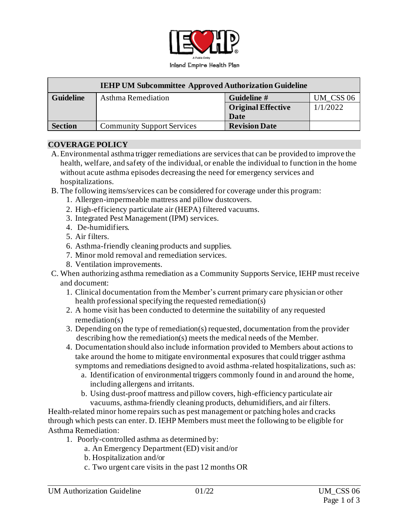

|                  | <b>IEHP UM Subcommittee Approved Authorization Guideline</b> |                           |           |
|------------------|--------------------------------------------------------------|---------------------------|-----------|
| <b>Guideline</b> | Asthma Remediation                                           | Guideline #               | UM CSS 06 |
|                  |                                                              | <b>Original Effective</b> | 1/1/2022  |
|                  |                                                              | Date                      |           |
| <b>Section</b>   | <b>Community Support Services</b>                            | <b>Revision Date</b>      |           |

#### **COVERAGE POLICY**

- A.Environmental asthma trigger remediations are servicesthat can be provided to improve the health, welfare, and safety of the individual, or enable the individual to function in the home without acute asthma episodes decreasing the need for emergency services and hospitalizations.
- B. The following items/services can be considered for coverage under this program:
	- 1. Allergen-impermeable mattress and pillow dustcovers.
	- 2. High-efficiency particulate air (HEPA) filtered vacuums.
	- 3. Integrated Pest Management (IPM) services.
	- 4. De-humidifiers.
	- 5. Air filters.
	- 6. Asthma-friendly cleaning products and supplies.
	- 7. Minor mold removal and remediation services.
	- 8. Ventilation improvements.
- C. When authorizing asthma remediation as a Community Supports Service, IEHP must receive and document:
	- 1. Clinical documentation from the Member's current primary care physician or other health professional specifying the requested remediation(s)
	- 2. A home visit has been conducted to determine the suitability of any requested remediation(s)
	- 3. Depending on the type of remediation(s) requested, documentation from the provider describing how the remediation(s) meets the medical needs of the Member.
	- 4. Documentation should also include information provided to Members about actions to take around the home to mitigate environmental exposures that could trigger asthma symptoms and remediations designed to avoid asthma-related hospitalizations, such as:
		- a. Identification of environmental triggers commonly found in and around the home, including allergens and irritants.
		- b. Using dust-proof mattress and pillow covers, high-efficiency particulate air vacuums, asthma-friendly cleaning products, dehumidifiers, and air filters.

Health-related minor home repairs such as pest management or patching holes and cracks through which pests can enter. D. IEHP Members must meet the following to be eligible for Asthma Remediation:

- 1. Poorly-controlled asthma as determined by:
	- a. An Emergency Department (ED) visit and/or
	- b. Hospitalization and/or
	- c. Two urgent care visits in the past 12 months OR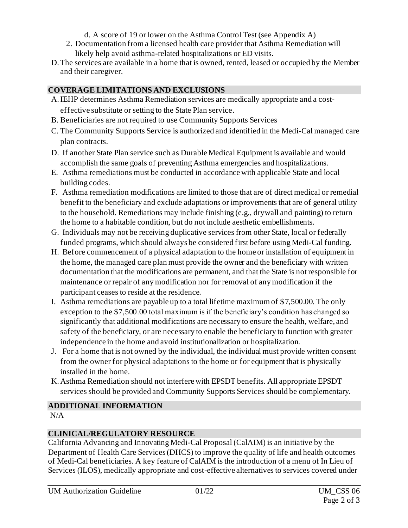- d. A score of 19 or lower on the Asthma Control Test (see Appendix A)
- 2. Documentation from a licensed health care provider that Asthma Remediation will likely help avoid asthma-related hospitalizations or ED visits.
- D.The services are available in a home that is owned, rented, leased or occupied by the Member and their caregiver.

## **COVERAGE LIMITATIONS AND EXCLUSIONS**

- A.IEHP determines Asthma Remediation services are medically appropriate and a costeffective substitute or setting to the State Plan service.
- B. Beneficiaries are not required to use Community Supports Services
- C. The Community Supports Service is authorized and identified in the Medi-Cal managed care plan contracts.
- D. If another State Plan service such as Durable Medical Equipment is available and would accomplish the same goals of preventing Asthma emergencies and hospitalizations.
- E. Asthma remediations must be conducted in accordance with applicable State and local building codes.
- F. Asthma remediation modifications are limited to those that are of direct medical or remedial benefit to the beneficiary and exclude adaptations or improvements that are of general utility to the household. Remediations may include finishing (e.g., drywall and painting) to return the home to a habitable condition, but do not include aesthetic embellishments.
- G. Individuals may not be receiving duplicative services from other State, local or federally funded programs, which should always be considered first before using Medi-Cal funding.
- H. Before commencement of a physical adaptation to the home or installation of equipment in the home, the managed care plan must provide the owner and the beneficiary with written documentation that the modifications are permanent, and that the State is not responsible for maintenance or repair of any modification nor for removal of any modification if the participant ceases to reside at the residence.
- I. Asthma remediations are payable up to a total lifetime maximum of \$7,500.00. The only exception to the \$7,500.00 total maximum is if the beneficiary's condition has changed so significantly that additional modifications are necessary to ensure the health, welfare, and safety of the beneficiary, or are necessary to enable the beneficiary to function with greater independence in the home and avoid institutionalization or hospitalization.
- J. For a home that is not owned by the individual, the individual must provide written consent from the owner for physical adaptations to the home or for equipment that is physically installed in the home.
- K. Asthma Remediation should not interfere with EPSDT benefits. All appropriate EPSDT services should be provided and Community Supports Services should be complementary.

## **ADDITIONAL INFORMATION**

N/A

## **CLINICAL/REGULATORY RESOURCE**

California Advancing and Innovating Medi-Cal Proposal (CalAIM) is an initiative by the Department of Health Care Services (DHCS) to improve the quality of life and health outcomes of Medi-Cal beneficiaries. A key feature of CalAIM is the introduction of a menu of In Lieu of Services (ILOS), medically appropriate and cost-effective alternatives to services covered under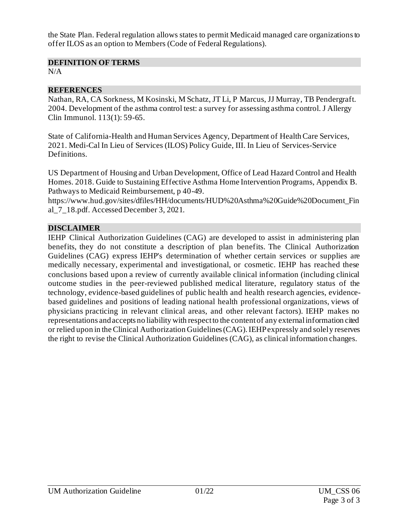the State Plan. Federal regulation allows states to permit Medicaid managed care organizations to offer ILOS as an option to Members (Code of Federal Regulations).

#### **DEFINITION OF TERMS**

 $N/A$ 

#### **REFERENCES**

Nathan, RA, CA Sorkness, M Kosinski, M Schatz, JT Li, P Marcus, JJ Murray, TB Pendergraft. 2004. Development of the asthma control test: a survey for assessing asthma control. J Allergy Clin Immunol. 113(1): 59-65.

State of California-Health and Human Services Agency, Department of Health Care Services, 2021. Medi-Cal In Lieu of Services (ILOS) Policy Guide, III. In Lieu of Services-Service Definitions.

US Department of Housing and Urban Development, Office of Lead Hazard Control and Health Homes. 2018. Guide to Sustaining Effective Asthma Home Intervention Programs, Appendix B. Pathways to Medicaid Reimbursement, p 40-49.

[https://www.hud.gov/sites/dfiles/HH/documents/HUD%20Asthma%20Guide%20Document\\_Fin](https://www.hud.gov/sites/dfiles/HH/documents/HUD%20Asthma%20Guide%20Document_Final_7_18.pdf) [al\\_7\\_18.pdf](https://www.hud.gov/sites/dfiles/HH/documents/HUD%20Asthma%20Guide%20Document_Final_7_18.pdf). Accessed December 3, 2021.

#### **DISCLAIMER**

IEHP Clinical Authorization Guidelines (CAG) are developed to assist in administering plan benefits, they do not constitute a description of plan benefits. The Clinical Authorization Guidelines (CAG) express IEHP's determination of whether certain services or supplies are medically necessary, experimental and investigational, or cosmetic. IEHP has reached these conclusions based upon a review of currently available clinical information (including clinical outcome studies in the peer-reviewed published medical literature, regulatory status of the technology, evidence-based guidelines of public health and health research agencies, evidencebased guidelines and positions of leading national health professional organizations, views of physicians practicing in relevant clinical areas, and other relevant factors). IEHP makes no representations and accepts no liability with respect to the content of any external information cited or relied upon in the Clinical Authorization Guidelines (CAG). IEHP expressly and solely reserves the right to revise the Clinical Authorization Guidelines (CAG), as clinical information changes.